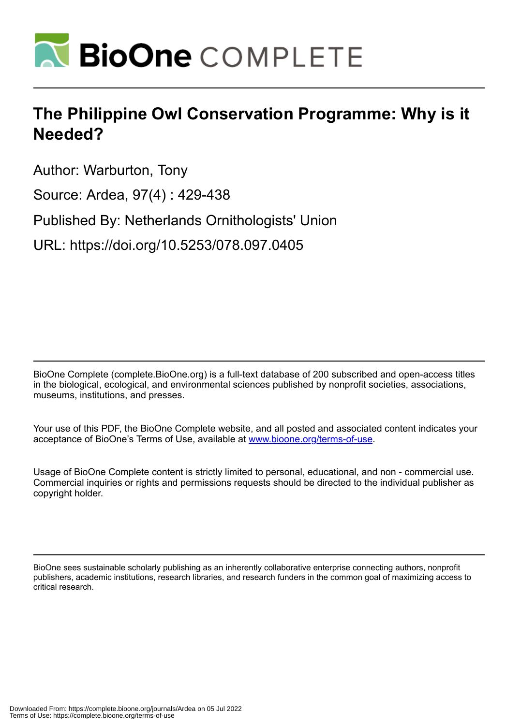

# **The Philippine Owl Conservation Programme: Why is it Needed?**

Author: Warburton, Tony

Source: Ardea, 97(4) : 429-438

Published By: Netherlands Ornithologists' Union

URL: https://doi.org/10.5253/078.097.0405

BioOne Complete (complete.BioOne.org) is a full-text database of 200 subscribed and open-access titles in the biological, ecological, and environmental sciences published by nonprofit societies, associations, museums, institutions, and presses.

Your use of this PDF, the BioOne Complete website, and all posted and associated content indicates your acceptance of BioOne's Terms of Use, available at www.bioone.org/terms-of-use.

Usage of BioOne Complete content is strictly limited to personal, educational, and non - commercial use. Commercial inquiries or rights and permissions requests should be directed to the individual publisher as copyright holder.

BioOne sees sustainable scholarly publishing as an inherently collaborative enterprise connecting authors, nonprofit publishers, academic institutions, research libraries, and research funders in the common goal of maximizing access to critical research.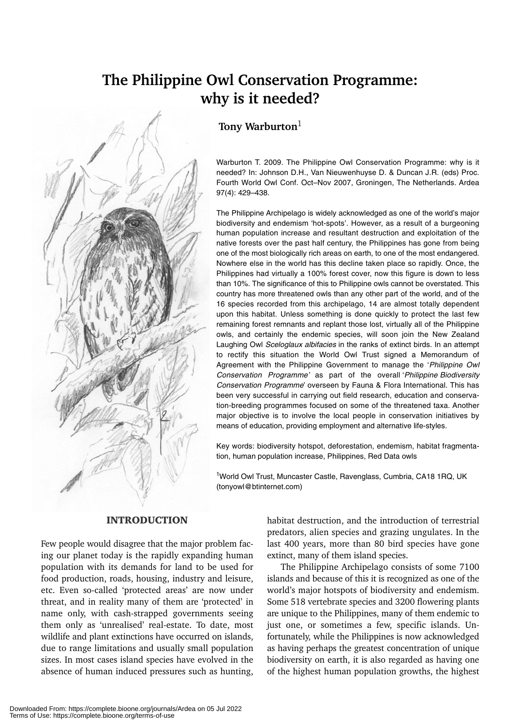## **The Philippine Owl Conservation Programme: why is it needed?**



## **Tony Warburton**<sup>1</sup>

Warburton T. 2009. The Philippine Owl Conservation Programme: why is it needed? In: Johnson D.H., Van Nieuwenhuyse D. & Duncan J.R. (eds) Proc. Fourth World Owl Conf. Oct–Nov 2007, Groningen, The Netherlands. Ardea 97(4): 429–438.

The Philippine Archipelago is widely acknowledged as one of the world's major biodiversity and endemism 'hot-spots'. However, as a result of a burgeoning human population increase and resultant destruction and exploitation of the native forests over the past half century, the Philippines has gone from being one of the most biologically rich areas on earth, to one of the most endangered. Nowhere else in the world has this decline taken place so rapidly. Once, the Philippines had virtually a 100% forest cover, now this figure is down to less than 10%. The significance of this to Philippine owls cannot be overstated. This country has more threatened owls than any other part of the world, and of the 16 species recorded from this archipelago, 14 are almost totally dependent upon this habitat. Unless something is done quickly to protect the last few remaining forest remnants and replant those lost, virtually all of the Philippine owls, and certainly the endemic species, will soon join the New Zealand Laughing Owl *Sceloglaux albifacies* in the ranks of extinct birds. In an attempt to rectify this situation the World Owl Trust signed a Memorandum of Agreement with the Philippine Government to manage the '*Philippine Owl Conservation Programme'* as part of the overall '*Philippine Biodiversity Conservation Programme*' overseen by Fauna & Flora International. This has been very successful in carrying out field research, education and conservation-breeding programmes focused on some of the threatened taxa. Another major objective is to involve the local people in conservation initiatives by means of education, providing employment and alternative life-styles.

Key words: biodiversity hotspot, deforestation, endemism, habitat fragmentation, human population increase, Philippines, Red Data owls

<sup>1</sup>World Owl Trust, Muncaster Castle, Ravenglass, Cumbria, CA18 1RQ, UK (tonyowl@btinternet.com)

### **INTRODUCTION**

Few people would disagree that the major problem facing our planet today is the rapidly expanding human population with its demands for land to be used for food production, roads, housing, industry and leisure, etc. Even so-called 'protected areas' are now under threat, and in reality many of them are 'protected' in name only, with cash-strapped governments seeing them only as 'unrealised' real-estate. To date, most wildlife and plant extinctions have occurred on islands, due to range limitations and usually small population sizes. In most cases island species have evolved in the absence of human induced pressures such as hunting, habitat destruction, and the introduction of terrestrial predators, alien species and grazing ungulates. In the last 400 years, more than 80 bird species have gone extinct, many of them island species.

The Philippine Archipelago consists of some 7100 islands and because of this it is recognized as one of the world's major hotspots of biodiversity and endemism. Some 518 vertebrate species and 3200 flowering plants are unique to the Philippines, many of them endemic to just one, or sometimes a few, specific islands. Unfortunately, while the Philippines is now acknowledged as having perhaps the greatest concentration of unique biodiversity on earth, it is also regarded as having one of the highest human population growths, the highest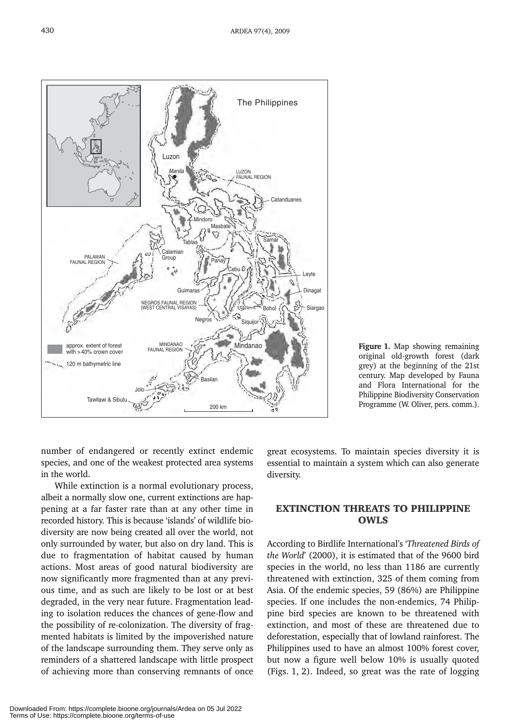



number of endangered or recently extinct endemic species, and one of the weakest protected area systems in the world.

While extinction is a normal evolutionary process, albeit a normally slow one, current extinctions are happening at a far faster rate than at any other time in recorded history. This is because 'islands' of wildlife biodiversity are now being created all over the world, not only surrounded by water, but also on dry land. This is due to fragmentation of habitat caused by human actions. Most areas of good natural biodiversity are now significantly more fragmented than at any previous time, and as such are likely to be lost or at best degraded, in the very near future. Fragmentation leading to isolation reduces the chances of gene-flow and the possibility of re-colonization. The diversity of fragmented habitats is limited by the impoverished nature of the landscape surrounding them. They serve only as reminders of a shattered landscape with little prospect of achieving more than conserving remnants of once great ecosystems. To maintain species diversity it is essential to maintain a system which can also generate diversity.

## EXTINCTION THREATS TO PHILIPPINE OWLS

According to Birdlife International's '*Threatened Birds of the World*' (2000), it is estimated that of the 9600 bird species in the world, no less than 1186 are currently threatened with extinction, 325 of them coming from Asia. Of the endemic species, 59 (86%) are Philippine species. If one includes the non-endemics, 74 Philippine bird species are known to be threatened with extinction, and most of these are threatened due to deforestation, especially that of lowland rainforest. The Philippines used to have an almost 100% forest cover, but now a figure well below 10% is usually quoted (Figs. 1, 2). Indeed, so great was the rate of logging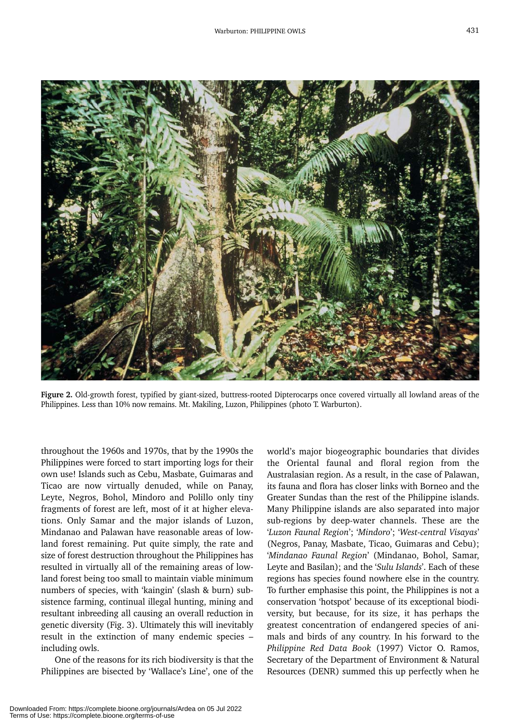

**Figure 2.** Old-growth forest, typified by giant-sized, buttress-rooted Dipterocarps once covered virtually all lowland areas of the Philippines. Less than 10% now remains. Mt. Makiling, Luzon, Philippines (photo T. Warburton).

throughout the 1960s and 1970s, that by the 1990s the Philippines were forced to start importing logs for their own use! Islands such as Cebu, Masbate, Guimaras and Ticao are now virtually denuded, while on Panay, Leyte, Negros, Bohol, Mindoro and Polillo only tiny fragments of forest are left, most of it at higher elevations. Only Samar and the major islands of Luzon, Mindanao and Palawan have reasonable areas of lowland forest remaining. Put quite simply, the rate and size of forest destruction throughout the Philippines has resulted in virtually all of the remaining areas of lowland forest being too small to maintain viable minimum numbers of species, with 'kaingin' (slash & burn) subsistence farming, continual illegal hunting, mining and resultant inbreeding all causing an overall reduction in genetic diversity (Fig. 3). Ultimately this will inevitably result in the extinction of many endemic species – including owls.

One of the reasons for its rich biodiversity is that the Philippines are bisected by 'Wallace's Line', one of the world's major biogeographic boundaries that divides the Oriental faunal and floral region from the Australasian region. As a result, in the case of Palawan, its fauna and flora has closer links with Borneo and the Greater Sundas than the rest of the Philippine islands. Many Philippine islands are also separated into major sub-regions by deep-water channels. These are the '*Luzon Faunal Region*'; '*Mindoro*'; '*West-central Visayas*' (Negros, Panay, Masbate, Ticao, Guimaras and Cebu); '*Mindanao Faunal Region*' (Mindanao, Bohol, Samar, Leyte and Basilan); and the '*Sulu Islands*'. Each of these regions has species found nowhere else in the country. To further emphasise this point, the Philippines is not a conservation 'hotspot' because of its exceptional biodiversity, but because, for its size, it has perhaps the greatest concentration of endangered species of animals and birds of any country. In his forward to the *Philippine Red Data Book* (1997) Victor O. Ramos, Secretary of the Department of Environment & Natural Resources (DENR) summed this up perfectly when he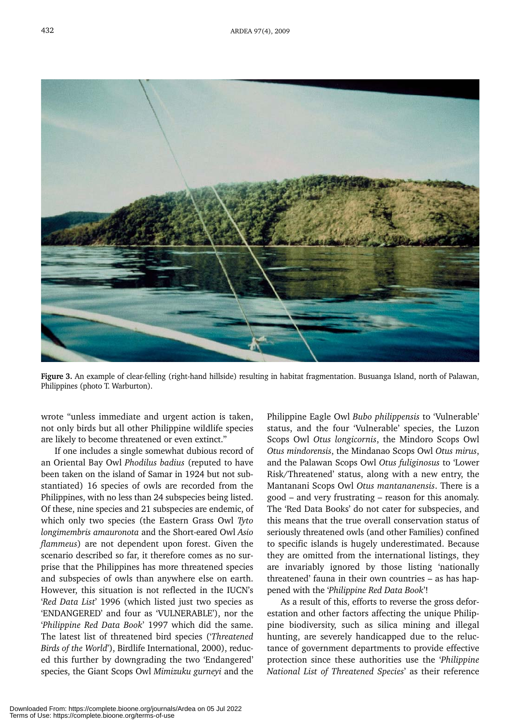

**Figure 3.** An example of clear-felling (right-hand hillside) resulting in habitat fragmentation. Busuanga Island, north of Palawan, Philippines (photo T. Warburton).

wrote "unless immediate and urgent action is taken, not only birds but all other Philippine wildlife species are likely to become threatened or even extinct."

If one includes a single somewhat dubious record of an Oriental Bay Owl *Phodilus badius* (reputed to have been taken on the island of Samar in 1924 but not substantiated) 16 species of owls are recorded from the Philippines, with no less than 24 subspecies being listed. Of these, nine species and 21 subspecies are endemic, of which only two species (the Eastern Grass Owl *Tyto longimembris amauronota* and the Short-eared Owl *Asio flammeus*) are not dependent upon forest. Given the scenario described so far, it therefore comes as no surprise that the Philippines has more threatened species and subspecies of owls than anywhere else on earth. However, this situation is not reflected in the IUCN's '*Red Data List*' 1996 (which listed just two species as 'ENDANGERED' and four as 'VULNERABLE'), nor the '*Philippine Red Data Book*' 1997 which did the same. The latest list of threatened bird species ('*Threatened Birds of the World*'), Birdlife International, 2000), reduced this further by downgrading the two 'Endangered' species, the Giant Scops Owl *Mimizuku gurneyi* and the Philippine Eagle Owl *Bubo philippensis* to 'Vulnerable' status, and the four 'Vulnerable' species, the Luzon Scops Owl *Otus longicornis*, the Mindoro Scops Owl *Otus mindorensis*, the Mindanao Scops Owl *Otus mirus*, and the Palawan Scops Owl *Otus fuliginosus* to 'Lower Risk/Threatened' status, along with a new entry, the Mantanani Scops Owl *Otus mantananensis*. There is a good – and very frustrating – reason for this anomaly. The 'Red Data Books' do not cater for subspecies, and this means that the true overall conservation status of seriously threatened owls (and other Families) confined to specific islands is hugely underestimated. Because they are omitted from the international listings, they are invariably ignored by those listing 'nationally threatened' fauna in their own countries – as has happened with the '*Philippine Red Data Book*'!

As a result of this, efforts to reverse the gross deforestation and other factors affecting the unique Philippine biodiversity, such as silica mining and illegal hunting, are severely handicapped due to the reluctance of government departments to provide effective protection since these authorities use the '*Philippine National List of Threatened Species*' as their reference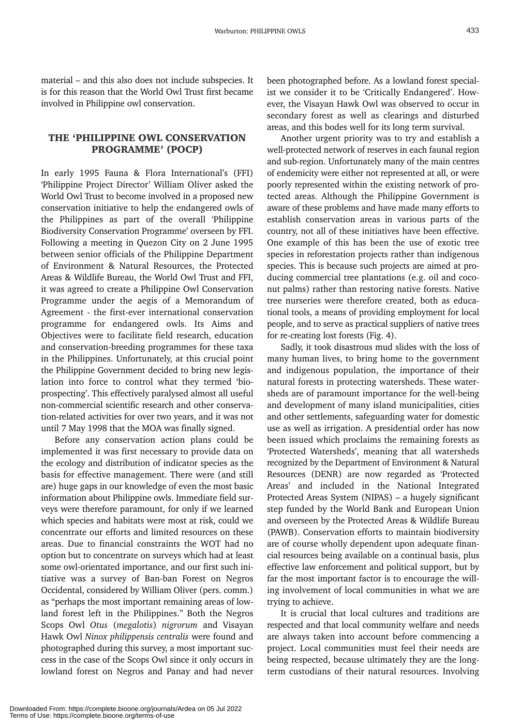material – and this also does not include subspecies. It is for this reason that the World Owl Trust first became involved in Philippine owl conservation.

## THE 'PHILIPPINE OWL CONSERVATION PROGRAMME' (POCP)

In early 1995 Fauna & Flora International's (FFI) 'Philippine Project Director' William Oliver asked the World Owl Trust to become involved in a proposed new conservation initiative to help the endangered owls of the Philippines as part of the overall 'Philippine Biodiversity Conservation Programme' overseen by FFI. Following a meeting in Quezon City on 2 June 1995 between senior officials of the Philippine Department of Environment & Natural Resources, the Protected Areas & Wildlife Bureau, the World Owl Trust and FFI, it was agreed to create a Philippine Owl Conservation Programme under the aegis of a Memorandum of Agreement - the first-ever international conservation programme for endangered owls. Its Aims and Objectives were to facilitate field research, education and conservation-breeding programmes for these taxa in the Philippines. Unfortunately, at this crucial point the Philippine Government decided to bring new legislation into force to control what they termed 'bioprospecting'. This effectively paralysed almost all useful non-commercial scientific research and other conservation-related activities for over two years, and it was not until 7 May 1998 that the MOA was finally signed.

Before any conservation action plans could be implemented it was first necessary to provide data on the ecology and distribution of indicator species as the basis for effective management. There were (and still are) huge gaps in our knowledge of even the most basic information about Philippine owls. Immediate field surveys were therefore paramount, for only if we learned which species and habitats were most at risk, could we concentrate our efforts and limited resources on these areas. Due to financial constraints the WOT had no option but to concentrate on surveys which had at least some owl-orientated importance, and our first such initiative was a survey of Ban-ban Forest on Negros Occidental, considered by William Oliver (pers. comm.) as "perhaps the most important remaining areas of lowland forest left in the Philippines." Both the Negros Scops Owl *Otus* (*megalotis*) *nigrorum* and Visayan Hawk Owl *Ninox philippensis centralis* were found and photographed during this survey, a most important success in the case of the Scops Owl since it only occurs in lowland forest on Negros and Panay and had never been photographed before. As a lowland forest specialist we consider it to be 'Critically Endangered'. However, the Visayan Hawk Owl was observed to occur in secondary forest as well as clearings and disturbed areas, and this bodes well for its long term survival.

Another urgent priority was to try and establish a well-protected network of reserves in each faunal region and sub-region. Unfortunately many of the main centres of endemicity were either not represented at all, or were poorly represented within the existing network of protected areas. Although the Philippine Government is aware of these problems and have made many efforts to establish conservation areas in various parts of the country, not all of these initiatives have been effective. One example of this has been the use of exotic tree species in reforestation projects rather than indigenous species. This is because such projects are aimed at producing commercial tree plantations (e.g. oil and coconut palms) rather than restoring native forests. Native tree nurseries were therefore created, both as educational tools, a means of providing employment for local people, and to serve as practical suppliers of native trees for re-creating lost forests (Fig. 4).

Sadly, it took disastrous mud slides with the loss of many human lives, to bring home to the government and indigenous population, the importance of their natural forests in protecting watersheds. These watersheds are of paramount importance for the well-being and development of many island municipalities, cities and other settlements, safeguarding water for domestic use as well as irrigation. A presidential order has now been issued which proclaims the remaining forests as 'Protected Watersheds', meaning that all watersheds recognized by the Department of Environment & Natural Resources (DENR) are now regarded as 'Protected Areas' and included in the National Integrated Protected Areas System (NIPAS) – a hugely significant step funded by the World Bank and European Union and overseen by the Protected Areas & Wildlife Bureau (PAWB). Conservation efforts to maintain biodiversity are of course wholly dependent upon adequate financial resources being available on a continual basis, plus effective law enforcement and political support, but by far the most important factor is to encourage the willing involvement of local communities in what we are trying to achieve.

It is crucial that local cultures and traditions are respected and that local community welfare and needs are always taken into account before commencing a project. Local communities must feel their needs are being respected, because ultimately they are the longterm custodians of their natural resources. Involving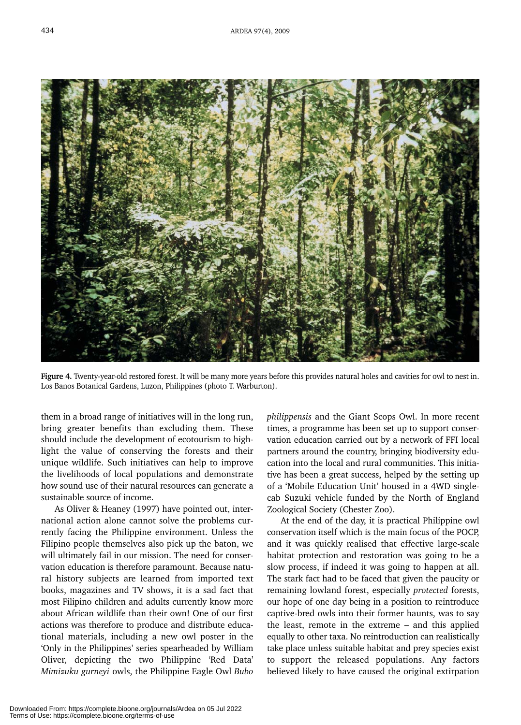

**Figure 4.** Twenty-year-old restored forest. It will be many more years before this provides natural holes and cavities for owl to nest in. Los Banos Botanical Gardens, Luzon, Philippines (photo T. Warburton).

them in a broad range of initiatives will in the long run, bring greater benefits than excluding them. These should include the development of ecotourism to highlight the value of conserving the forests and their unique wildlife. Such initiatives can help to improve the livelihoods of local populations and demonstrate how sound use of their natural resources can generate a sustainable source of income.

As Oliver & Heaney (1997) have pointed out, international action alone cannot solve the problems currently facing the Philippine environment. Unless the Filipino people themselves also pick up the baton, we will ultimately fail in our mission. The need for conservation education is therefore paramount. Because natural history subjects are learned from imported text books, magazines and TV shows, it is a sad fact that most Filipino children and adults currently know more about African wildlife than their own! One of our first actions was therefore to produce and distribute educational materials, including a new owl poster in the 'Only in the Philippines' series spearheaded by William Oliver, depicting the two Philippine 'Red Data' *Mimizuku gurneyi* owls, the Philippine Eagle Owl *Bubo*

*philippensis* and the Giant Scops Owl. In more recent times, a programme has been set up to support conservation education carried out by a network of FFI local partners around the country, bringing biodiversity education into the local and rural communities. This initiative has been a great success, helped by the setting up of a 'Mobile Education Unit' housed in a 4WD singlecab Suzuki vehicle funded by the North of England Zoological Society (Chester Zoo).

At the end of the day, it is practical Philippine owl conservation itself which is the main focus of the POCP, and it was quickly realised that effective large-scale habitat protection and restoration was going to be a slow process, if indeed it was going to happen at all. The stark fact had to be faced that given the paucity or remaining lowland forest, especially *protected* forests, our hope of one day being in a position to reintroduce captive-bred owls into their former haunts, was to say the least, remote in the extreme – and this applied equally to other taxa. No reintroduction can realistically take place unless suitable habitat and prey species exist to support the released populations. Any factors believed likely to have caused the original extirpation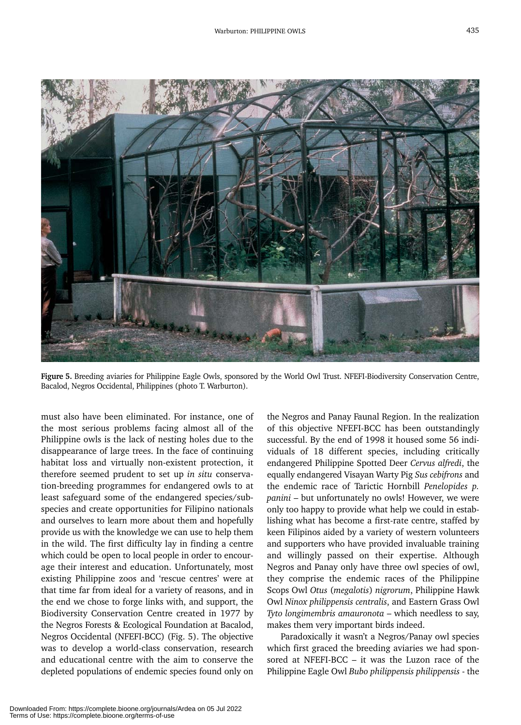

Figure 5. Breeding aviaries for Philippine Eagle Owls, sponsored by the World Owl Trust. NFEFI-Biodiversity Conservation Centre, Bacalod, Negros Occidental, Philippines (photo T. Warburton).

must also have been eliminated. For instance, one of the most serious problems facing almost all of the Philippine owls is the lack of nesting holes due to the disappearance of large trees. In the face of continuing habitat loss and virtually non-existent protection, it therefore seemed prudent to set up *in situ* conservation-breeding programmes for endangered owls to at least safeguard some of the endangered species/subspecies and create opportunities for Filipino nationals and ourselves to learn more about them and hopefully provide us with the knowledge we can use to help them in the wild. The first difficulty lay in finding a centre which could be open to local people in order to encourage their interest and education. Unfortunately, most existing Philippine zoos and 'rescue centres' were at that time far from ideal for a variety of reasons, and in the end we chose to forge links with, and support, the Biodiversity Conservation Centre created in 1977 by the Negros Forests & Ecological Foundation at Bacalod, Negros Occidental (NFEFI-BCC) (Fig. 5). The objective was to develop a world-class conservation, research and educational centre with the aim to conserve the depleted populations of endemic species found only on the Negros and Panay Faunal Region. In the realization of this objective NFEFI-BCC has been outstandingly successful. By the end of 1998 it housed some 56 individuals of 18 different species, including critically endangered Philippine Spotted Deer *Cervus alfredi*, the equally endangered Visayan Warty Pig *Sus cebifrons* and the endemic race of Tarictic Hornbill *Penelopides p. panini* – but unfortunately no owls! However, we were only too happy to provide what help we could in establishing what has become a first-rate centre, staffed by keen Filipinos aided by a variety of western volunteers and supporters who have provided invaluable training and willingly passed on their expertise. Although Negros and Panay only have three owl species of owl, they comprise the endemic races of the Philippine Scops Owl *Otus* (*megalotis*) *nigrorum*, Philippine Hawk Owl *Ninox philippensis centralis*, and Eastern Grass Owl *Tyto longimembris amauronota* – which needless to say, makes them very important birds indeed.

Paradoxically it wasn't a Negros/Panay owl species which first graced the breeding aviaries we had sponsored at NFEFI-BCC – it was the Luzon race of the Philippine Eagle Owl *Bubo philippensis philippensis* - the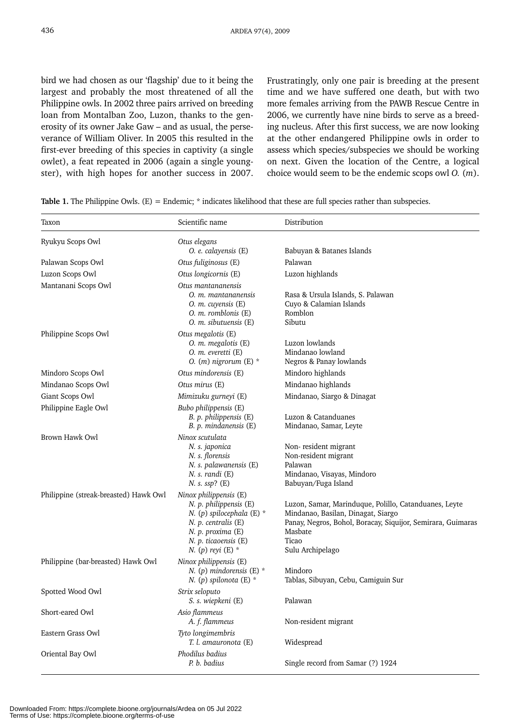bird we had chosen as our 'flagship' due to it being the largest and probably the most threatened of all the Philippine owls. In 2002 three pairs arrived on breeding loan from Montalban Zoo, Luzon, thanks to the generosity of its owner Jake Gaw – and as usual, the perseverance of William Oliver. In 2005 this resulted in the first-ever breeding of this species in captivity (a single owlet), a feat repeated in 2006 (again a single youngster), with high hopes for another success in 2007. Frustratingly, only one pair is breeding at the present time and we have suffered one death, but with two more females arriving from the PAWB Rescue Centre in 2006, we currently have nine birds to serve as a breeding nucleus. After this first success, we are now looking at the other endangered Philippine owls in order to assess which species/subspecies we should be working on next. Given the location of the Centre, a logical choice would seem to be the endemic scops owl *O.* (*m*).

|  | Table 1. The Philippine Owls. $(E)$ = Endemic; * indicates likelihood that these are full species rather than subspecies. |
|--|---------------------------------------------------------------------------------------------------------------------------|
|  |                                                                                                                           |

| Taxon                                 | Scientific name                                                                                                                                                                      | Distribution                                                                                                                                                                                       |  |
|---------------------------------------|--------------------------------------------------------------------------------------------------------------------------------------------------------------------------------------|----------------------------------------------------------------------------------------------------------------------------------------------------------------------------------------------------|--|
| Ryukyu Scops Owl                      | Otus elegans<br>O. e. calayensis (E)                                                                                                                                                 | Babuyan & Batanes Islands                                                                                                                                                                          |  |
| Palawan Scops Owl                     | Otus fuliginosus (E)                                                                                                                                                                 | Palawan                                                                                                                                                                                            |  |
| Luzon Scops Owl                       | Otus longicornis (E)                                                                                                                                                                 | Luzon highlands                                                                                                                                                                                    |  |
| Mantanani Scops Owl                   | Otus mantananensis<br>O. m. mantananensis<br>$O.$ m. cuvensis $(E)$<br>$O.$ m. romblonis $(E)$<br>$O.$ m. sibutuensis $(E)$                                                          | Rasa & Ursula Islands, S. Palawan<br>Cuvo & Calamian Islands<br>Romblon<br>Sibutu                                                                                                                  |  |
| Philippine Scops Owl                  | Otus megalotis (E)<br>O. m. megalotis (E)<br>O. m. everetti (E)<br>O. $(m)$ nigrorum $(E)$ *                                                                                         | Luzon lowlands<br>Mindanao lowland<br>Negros & Panay lowlands                                                                                                                                      |  |
| Mindoro Scops Owl                     | Otus mindorensis (E)                                                                                                                                                                 | Mindoro highlands                                                                                                                                                                                  |  |
| Mindanao Scops Owl                    | Otus mirus (E)                                                                                                                                                                       | Mindanao highlands                                                                                                                                                                                 |  |
| Giant Scops Owl                       | Mimizuku gurneyi (E)                                                                                                                                                                 | Mindanao, Siargo & Dinagat                                                                                                                                                                         |  |
| Philippine Eagle Owl                  | Bubo philippensis (E)<br>$B.$ p. philippensis $(E)$<br>B. p. mindanensis (E)                                                                                                         | Luzon & Catanduanes<br>Mindanao, Samar, Leyte                                                                                                                                                      |  |
| Brown Hawk Owl                        | Ninox scutulata<br>N. s. japonica<br>N. s. florensis<br>N. s. palawanensis (E)<br>N. s. randi(E)<br>N. s. ssp? (E)                                                                   | Non-resident migrant<br>Non-resident migrant<br>Palawan<br>Mindanao, Visayas, Mindoro<br>Babuyan/Fuga Island                                                                                       |  |
| Philippine (streak-breasted) Hawk Owl | Ninox philippensis (E)<br>$N.$ p. philippensis $(E)$<br>N. (p) spilocephala $(E)$ *<br>N. p. centralis (E)<br>$N.$ p. proxima $(E)$<br>N. p. ticaoensis (E)<br>N. $(p)$ reyi $(E)$ * | Luzon, Samar, Marinduque, Polillo, Catanduanes, Leyte<br>Mindanao, Basilan, Dinagat, Siargo<br>Panay, Negros, Bohol, Boracay, Siquijor, Semirara, Guimaras<br>Masbate<br>Ticao<br>Sulu Archipelago |  |
| Philippine (bar-breasted) Hawk Owl    | Ninox philippensis (E)<br>N. (p) mindorensis $(E)$ *<br>N. $(p)$ spilonota $(E)$ *                                                                                                   | Mindoro<br>Tablas, Sibuyan, Cebu, Camiguin Sur                                                                                                                                                     |  |
| Spotted Wood Owl                      | Strix seloputo<br>S. s. wiepkeni (E)                                                                                                                                                 | Palawan                                                                                                                                                                                            |  |
| Short-eared Owl                       | Asio flammeus<br>A. f. flammeus                                                                                                                                                      | Non-resident migrant                                                                                                                                                                               |  |
| Eastern Grass Owl                     | Tyto longimembris<br>T. l. amauronota (E)                                                                                                                                            | Widespread                                                                                                                                                                                         |  |
| Oriental Bay Owl                      | Phodilus badius<br>P. b. badius                                                                                                                                                      | Single record from Samar (?) 1924                                                                                                                                                                  |  |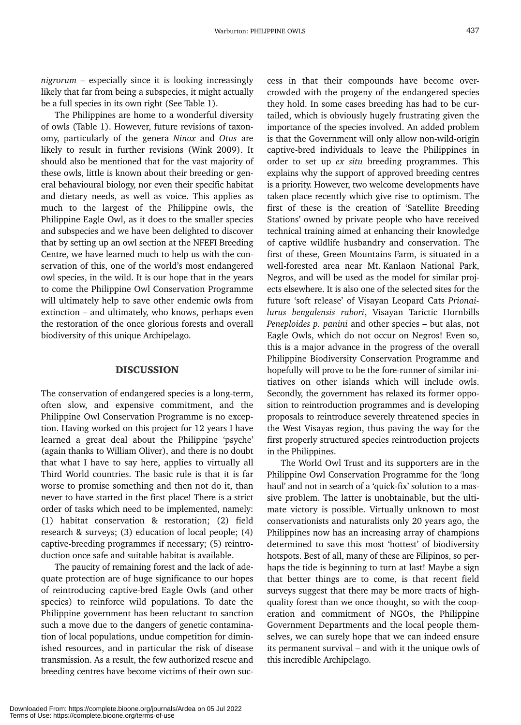*nigrorum* – especially since it is looking increasingly likely that far from being a subspecies, it might actually be a full species in its own right (See Table 1).

The Philippines are home to a wonderful diversity of owls (Table 1). However, future revisions of taxonomy, particularly of the genera *Ninox* and *Otus* are likely to result in further revisions (Wink 2009). It should also be mentioned that for the vast majority of these owls, little is known about their breeding or general behavioural biology, nor even their specific habitat and dietary needs, as well as voice. This applies as much to the largest of the Philippine owls, the Philippine Eagle Owl, as it does to the smaller species and subspecies and we have been delighted to discover that by setting up an owl section at the NFEFI Breeding Centre, we have learned much to help us with the conservation of this, one of the world's most endangered owl species, in the wild. It is our hope that in the years to come the Philippine Owl Conservation Programme will ultimately help to save other endemic owls from extinction – and ultimately, who knows, perhaps even the restoration of the once glorious forests and overall biodiversity of this unique Archipelago.

#### DISCUSSION

The conservation of endangered species is a long-term, often slow, and expensive commitment, and the Philippine Owl Conservation Programme is no exception. Having worked on this project for 12 years I have learned a great deal about the Philippine 'psyche' (again thanks to William Oliver), and there is no doubt that what I have to say here, applies to virtually all Third World countries. The basic rule is that it is far worse to promise something and then not do it, than never to have started in the first place! There is a strict order of tasks which need to be implemented, namely: (1) habitat conservation & restoration; (2) field research & surveys; (3) education of local people; (4) captive-breeding programmes if necessary; (5) reintroduction once safe and suitable habitat is available.

The paucity of remaining forest and the lack of adequate protection are of huge significance to our hopes of reintroducing captive-bred Eagle Owls (and other species) to reinforce wild populations. To date the Philippine government has been reluctant to sanction such a move due to the dangers of genetic contamination of local populations, undue competition for diminished resources, and in particular the risk of disease transmission. As a result, the few authorized rescue and breeding centres have become victims of their own success in that their compounds have become overcrowded with the progeny of the endangered species they hold. In some cases breeding has had to be curtailed, which is obviously hugely frustrating given the importance of the species involved. An added problem is that the Government will only allow non-wild-origin captive-bred individuals to leave the Philippines in order to set up *ex situ* breeding programmes. This explains why the support of approved breeding centres is a priority. However, two welcome developments have taken place recently which give rise to optimism. The first of these is the creation of 'Satellite Breeding Stations' owned by private people who have received technical training aimed at enhancing their knowledge of captive wildlife husbandry and conservation. The first of these, Green Mountains Farm, is situated in a well-forested area near Mt. Kanlaon National Park, Negros, and will be used as the model for similar projects elsewhere. It is also one of the selected sites for the future 'soft release' of Visayan Leopard Cats *Prionailurus bengalensis rabori*, Visayan Tarictic Hornbills *Peneploides p. panini* and other species – but alas, not Eagle Owls, which do not occur on Negros! Even so, this is a major advance in the progress of the overall Philippine Biodiversity Conservation Programme and hopefully will prove to be the fore-runner of similar initiatives on other islands which will include owls. Secondly, the government has relaxed its former opposition to reintroduction programmes and is developing proposals to reintroduce severely threatened species in the West Visayas region, thus paving the way for the first properly structured species reintroduction projects in the Philippines.

The World Owl Trust and its supporters are in the Philippine Owl Conservation Programme for the 'long haul' and not in search of a 'quick-fix' solution to a massive problem. The latter is unobtainable, but the ultimate victory is possible. Virtually unknown to most conservationists and naturalists only 20 years ago, the Philippines now has an increasing array of champions determined to save this most 'hottest' of biodiversity hotspots. Best of all, many of these are Filipinos, so perhaps the tide is beginning to turn at last! Maybe a sign that better things are to come, is that recent field surveys suggest that there may be more tracts of highquality forest than we once thought, so with the cooperation and commitment of NGOs, the Philippine Government Departments and the local people themselves, we can surely hope that we can indeed ensure its permanent survival – and with it the unique owls of this incredible Archipelago.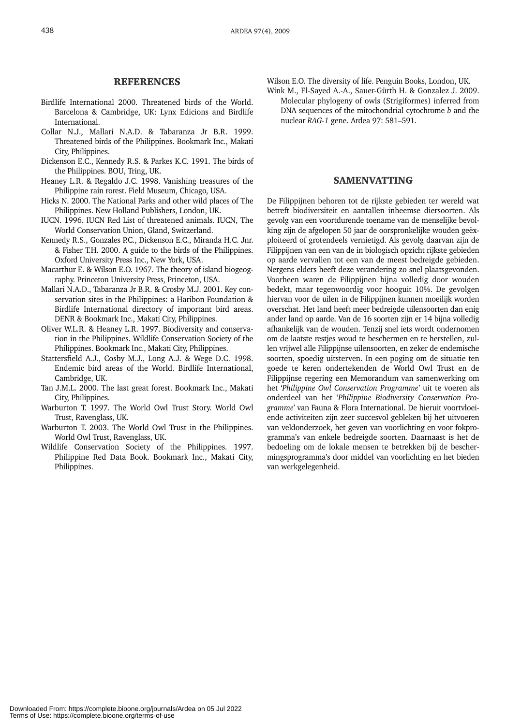## **REFERENCES**

- Birdlife International 2000. Threatened birds of the World. Barcelona & Cambridge, UK: Lynx Edicions and Birdlife International.
- Collar N.J., Mallari N.A.D. & Tabaranza Jr B.R. 1999. Threatened birds of the Philippines. Bookmark Inc., Makati City, Philippines.
- Dickenson E.C., Kennedy R.S. & Parkes K.C. 1991. The birds of the Philippines. BOU, Tring, UK.
- Heaney L.R. & Regaldo J.C. 1998. Vanishing treasures of the Philippine rain rorest. Field Museum, Chicago, USA.
- Hicks N. 2000. The National Parks and other wild places of The Philippines. New Holland Publishers, London, UK.
- IUCN. 1996. IUCN Red List of threatened animals. IUCN, The World Conservation Union, Gland, Switzerland.
- Kennedy R.S., Gonzales P.C., Dickenson E.C., Miranda H.C. Jnr. & Fisher T.H. 2000. A guide to the birds of the Philippines. Oxford University Press Inc., New York, USA.
- Macarthur E. & Wilson E.O. 1967. The theory of island biogeography. Princeton University Press, Princeton, USA.
- Mallari N.A.D., Tabaranza Jr B.R. & Crosby M.J. 2001. Key conservation sites in the Philippines: a Haribon Foundation & Birdlife International directory of important bird areas. DENR & Bookmark Inc., Makati City, Philippines.
- Oliver W.L.R. & Heaney L.R. 1997. Biodiversity and conservation in the Philippines. Wildlife Conservation Society of the Philippines. Bookmark Inc., Makati City, Philippines.
- Stattersfield A.J., Cosby M.J., Long A.J. & Wege D.C. 1998. Endemic bird areas of the World. Birdlife International, Cambridge, UK.
- Tan J.M.L. 2000. The last great forest. Bookmark Inc., Makati City, Philippines.
- Warburton T. 1997. The World Owl Trust Story. World Owl Trust, Ravenglass, UK.
- Warburton T. 2003. The World Owl Trust in the Philippines. World Owl Trust, Ravenglass, UK.
- Wildlife Conservation Society of the Philippines. 1997. Philippine Red Data Book. Bookmark Inc., Makati City, Philippines.

Wilson E.O. The diversity of life. Penguin Books, London, UK.

Wink M., El-Sayed A.-A., Sauer-Gürth H. & Gonzalez J. 2009. Molecular phylogeny of owls (Strigiformes) inferred from DNA sequences of the mitochondrial cytochrome *b* and the nuclear *RAG-1* gene. Ardea 97: 581–591.

### SAMENVATTING

De Filippijnen behoren tot de rijkste gebieden ter wereld wat betreft biodiversiteit en aantallen inheemse diersoorten. Als gevolg van een voortdurende toename van de menselijke bevolking zijn de afgelopen 50 jaar de oorspronkelijke wouden geëxploiteerd of grotendeels vernietigd. Als gevolg daarvan zijn de Filippijnen van een van de in biologisch opzicht rijkste gebieden op aarde vervallen tot een van de meest bedreigde gebieden. Nergens elders heeft deze verandering zo snel plaatsgevonden. Voorheen waren de Filippijnen bijna volledig door wouden bedekt, maar tegenwoordig voor hooguit 10%. De gevolgen hiervan voor de uilen in de Filippijnen kunnen moeilijk worden overschat. Het land heeft meer bedreigde uilensoorten dan enig ander land op aarde. Van de 16 soorten zijn er 14 bijna volledig afhankelijk van de wouden. Tenzij snel iets wordt ondernomen om de laatste restjes woud te beschermen en te herstellen, zullen vrijwel alle Filippijnse uilensoorten, en zeker de endemische soorten, spoedig uitsterven. In een poging om de situatie ten goede te keren ondertekenden de World Owl Trust en de Filippijnse regering een Memorandum van samenwerking om het '*Philippine Owl Conservation Programme*' uit te voeren als onderdeel van het '*Philippine Biodiversity Conservation Programme*' van Fauna & Flora International. De hieruit voortvloeiende activiteiten zijn zeer succesvol gebleken bij het uitvoeren van veldonderzoek, het geven van voorlichting en voor fokprogramma's van enkele bedreigde soorten. Daarnaast is het de bedoeling om de lokale mensen te betrekken bij de beschermingsprogramma's door middel van voorlichting en het bieden van werkgelegenheid.